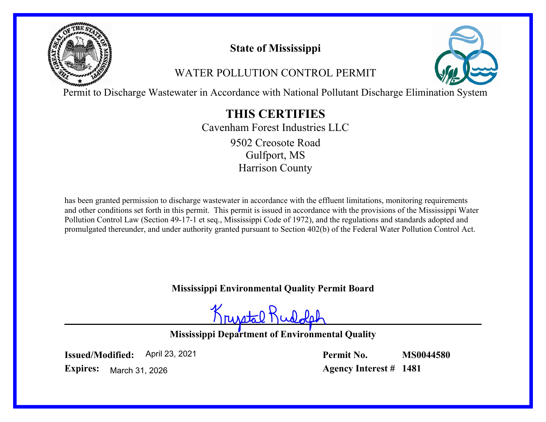

# **State of Mississippi**

# WATER POLLUTION CONTROL PERMIT



Permit to Discharge Wastewater in Accordance with National Pollutant Discharge Elimination System

# **THIS CERTIFIES**

Cavenham Forest Industries LLC Gulfport, MS Harrison County 9502 Creosote Road

has been granted permission to discharge wastewater in accordance with the effluent limitations, monitoring requirements and other conditions set forth in this permit. This permit is issued in accordance with the provisions of the Mississippi Water Pollution Control Law (Section 49-17-1 et seq., Mississippi Code of 1972), and the regulations and standards adopted and promulgated thereunder, and under authority granted pursuant to Section 402(b) of the Federal Water Pollution Control Act.

**Mississippi Environmental Quality Permit Board**

Krustal Kudole

**Mississippi Department of Environmental Quality**

**Issued/Modified:** April 23, 2021 **Permit No. MS0044580**

**Expires:** March 31, 2026 **Agency Interest # 1481**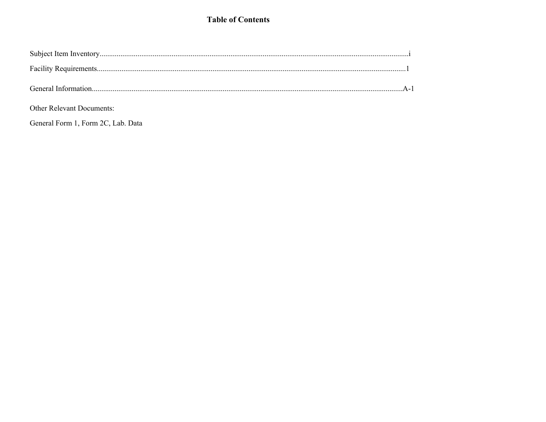### **Table of Contents**

Other Relevant Documents:

General Form 1, Form 2C, Lab. Data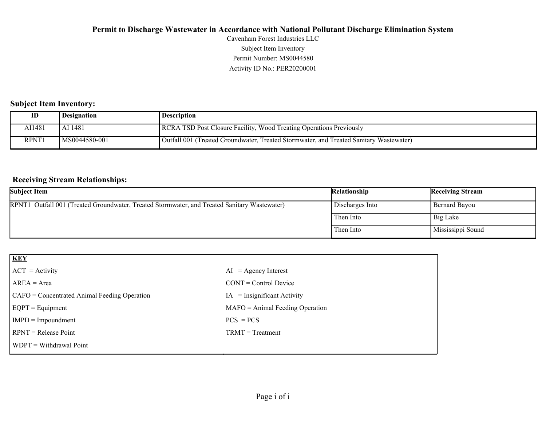Activity ID No.: PER20200001 Permit Number: MS0044580 Subject Item Inventory Cavenham Forest Industries LLC

#### **Subject Item Inventory:**

|              | Designation   | <b>Description</b>                                                                     |
|--------------|---------------|----------------------------------------------------------------------------------------|
| AI1481       | AI 1481       | RCRA TSD Post Closure Facility, Wood Treating Operations Previously                    |
| <b>RPNT1</b> | MS0044580-001 | Outfall 001 (Treated Groundwater, Treated Stormwater, and Treated Sanitary Wastewater) |

#### **Receiving Stream Relationships:**

| <b>Subject Item</b>                                                                          | Relationship    | <b>Receiving Stream</b> |
|----------------------------------------------------------------------------------------------|-----------------|-------------------------|
| RPNT1 Outfall 001 (Treated Groundwater, Treated Stormwater, and Treated Sanitary Wastewater) | Discharges Into | Bernard Bayou           |
|                                                                                              | Then Into       | Big Lake                |
|                                                                                              | Then Into       | Mississippi Sound       |

| KEY                                          |                                   |
|----------------------------------------------|-----------------------------------|
| $ ACT = Activity$                            | $AI = Agency Interest$            |
| $AREA = Area$                                | $CONT = Control$ Device           |
| CAFO = Concentrated Animal Feeding Operation | $IA = Insignificant Activity$     |
| $EQPT = Equipment$                           | $MAFO = Animal Feeding Operation$ |
| $IMPD = Important$                           | $PCS = PCs$                       |
| $RPNT = Release Point$                       | $TRMT = Treatment$                |
| WDPT = Withdrawal Point                      |                                   |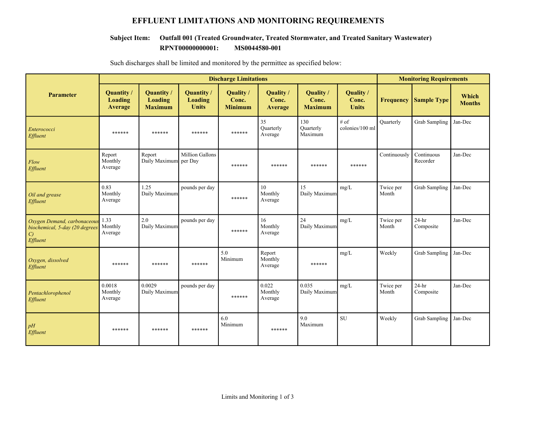### **EFFLUENT LIMITATIONS AND MONITORING REQUIREMENTS**

#### **RPNT00000000001: MS0044580-001 Subject Item: Outfall 001 (Treated Groundwater, Treated Stormwater, and Treated Sanitary Wastewater)**

|                                                                                            | <b>Discharge Limitations</b>                 |                                                       |                                              |                                      |                                        |                                      |                                    | <b>Monitoring Requirements</b> |                        |                        |  |
|--------------------------------------------------------------------------------------------|----------------------------------------------|-------------------------------------------------------|----------------------------------------------|--------------------------------------|----------------------------------------|--------------------------------------|------------------------------------|--------------------------------|------------------------|------------------------|--|
| <b>Parameter</b>                                                                           | <b>Quantity</b><br><b>Loading</b><br>Average | <b>Quantity</b> /<br><b>Loading</b><br><b>Maximum</b> | Quantity /<br><b>Loading</b><br><b>Units</b> | Quality /<br>Conc.<br><b>Minimum</b> | Quality /<br>Conc.<br>Average          | Quality /<br>Conc.<br><b>Maximum</b> | Quality /<br>Conc.<br><b>Units</b> | <b>Frequency</b>               | <b>Sample Type</b>     | Which<br><b>Months</b> |  |
| Enterococci<br>Effluent                                                                    | ******                                       | ******                                                | ******                                       | ******                               | 35<br><b>Ouarterly</b><br>Average      | 130<br><b>Quarterly</b><br>Maximum   | # of<br>colonies/100 ml            | Quarterly                      | <b>Grab Sampling</b>   | Jan-Dec                |  |
| Flow<br>Effluent                                                                           | Report<br>Monthly<br>Average                 | Report<br>Daily Maximum per Day                       | Million Gallons                              | ******                               | ******                                 | ******                               | ******                             | Continuously                   | Continuous<br>Recorder | Jan-Dec                |  |
| Oil and grease<br>Effluent                                                                 | 0.83<br>Monthly<br>Average                   | 1.25<br>Daily Maximum                                 | pounds per day                               | ******                               | 10 <sup>10</sup><br>Monthly<br>Average | 15<br>Daily Maximum                  | mg/L                               | Twice per<br>Month             | <b>Grab Sampling</b>   | Jan-Dec                |  |
| Oxygen Demand, carbonaceous<br>biochemical, 5-day (20 degrees<br>$\mathcal{C}$<br>Effluent | 1.33<br>Monthly<br>Average                   | 2.0<br>Daily Maximum                                  | pounds per day                               | ******                               | 16<br>Monthly<br>Average               | 24<br>Daily Maximum                  | mg/L                               | Twice per<br>Month             | $24-hr$<br>Composite   | Jan-Dec                |  |
| Oxygen, dissolved<br>Effluent                                                              | ******                                       | ******                                                | ******                                       | 5.0<br>Minimum                       | Report<br>Monthly<br>Average           | ******                               | mg/L                               | Weekly                         | <b>Grab Sampling</b>   | Jan-Dec                |  |
| Pentachlorophenol<br>Effluent                                                              | 0.0018<br>Monthly<br>Average                 | 0.0029<br>Daily Maximum                               | pounds per day                               | ******                               | 0.022<br>Monthly<br>Average            | 0.035<br>Daily Maximum               | mg/L                               | Twice per<br>Month             | $24-hr$<br>Composite   | Jan-Dec                |  |
| pH<br>Effluent                                                                             | ******                                       | ******                                                | ******                                       | 6.0<br>Minimum                       | ******                                 | 9.0<br>Maximum                       | <b>SU</b>                          | Weekly                         | <b>Grab Sampling</b>   | Jan-Dec                |  |

Such discharges shall be limited and monitored by the permittee as specified below: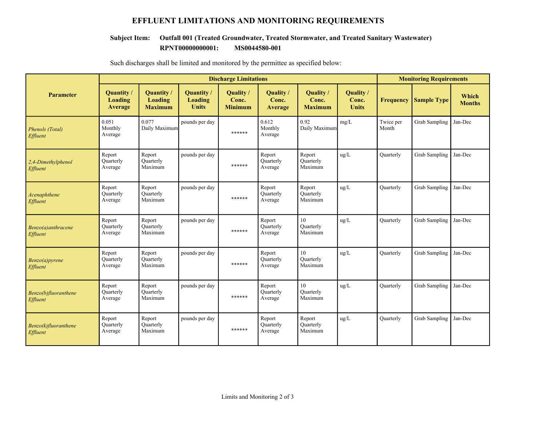### **EFFLUENT LIMITATIONS AND MONITORING REQUIREMENTS**

#### **RPNT00000000001: MS0044580-001 Subject Item: Outfall 001 (Treated Groundwater, Treated Stormwater, and Treated Sanitary Wastewater)**

|                                  | <b>Discharge Limitations</b>                 |                                         |                                                     |                                      |                                       |                                             | <b>Monitoring Requirements</b>     |                    |                      |                        |
|----------------------------------|----------------------------------------------|-----------------------------------------|-----------------------------------------------------|--------------------------------------|---------------------------------------|---------------------------------------------|------------------------------------|--------------------|----------------------|------------------------|
| <b>Parameter</b>                 | <b>Quantity</b><br>Loading<br><b>Average</b> | Quantity /<br>Loading<br><b>Maximum</b> | <b>Quantity</b> /<br><b>Loading</b><br><b>Units</b> | Quality /<br>Conc.<br><b>Minimum</b> | Quality /<br>Conc.<br>Average         | <b>Ouality</b> /<br>Conc.<br><b>Maximum</b> | Quality /<br>Conc.<br><b>Units</b> | <b>Frequency</b>   | <b>Sample Type</b>   | Which<br><b>Months</b> |
| Phenols (Total)<br>Effluent      | 0.051<br>Monthly<br>Average                  | 0.077<br>Daily Maximum                  | pounds per day                                      | ******                               | 0.612<br>Monthly<br>Average           | 0.92<br>Daily Maximum                       | mg/L                               | Twice per<br>Month | <b>Grab Sampling</b> | Jan-Dec                |
| 2,4-Dimethylphenol<br>Effluent   | Report<br><b>Quarterly</b><br>Average        | Report<br>Ouarterly<br>Maximum          | pounds per day                                      | ******                               | Report<br>Quarterly<br>Average        | Report<br>Quarterly<br>Maximum              | ug/L                               | Quarterly          | <b>Grab Sampling</b> | Jan-Dec                |
| Acenaphthene<br>Effluent         | Report<br><b>Quarterly</b><br>Average        | Report<br>Ouarterly<br>Maximum          | pounds per day                                      | ******                               | Report<br><b>Ouarterly</b><br>Average | Report<br><b>Ouarterly</b><br>Maximum       | ug/L                               | Quarterly          | <b>Grab Sampling</b> | Jan-Dec                |
| Benzo(a)anthracene<br>Effluent   | Report<br><b>Quarterly</b><br>Average        | Report<br><b>Quarterly</b><br>Maximum   | pounds per day                                      | ******                               | Report<br><b>Ouarterly</b><br>Average | 10<br>Quarterly<br>Maximum                  | ug/L                               | <b>Quarterly</b>   | <b>Grab Sampling</b> | Jan-Dec                |
| Benzo(a)pyrene<br>Effluent       | Report<br><b>Quarterly</b><br>Average        | Report<br><b>Quarterly</b><br>Maximum   | pounds per day                                      | ******                               | Report<br>Quarterly<br>Average        | 10<br><b>Quarterly</b><br>Maximum           | ug/L                               | Quarterly          | <b>Grab Sampling</b> | Jan-Dec                |
| Benzo(b)fluoranthene<br>Effluent | Report<br>Quarterly<br>Average               | Report<br>Ouarterly<br>Maximum          | pounds per day                                      | ******                               | Report<br>Quarterly<br>Average        | 10<br>Ouarterly<br>Maximum                  | ug/L                               | <b>Quarterly</b>   | <b>Grab Sampling</b> | Jan-Dec                |
| Benzo(k)fluoranthene<br>Effluent | Report<br><b>Quarterly</b><br>Average        | Report<br>Ouarterly<br>Maximum          | pounds per day                                      | ******                               | Report<br>Quarterly<br>Average        | Report<br><b>Ouarterly</b><br>Maximum       | ug/L                               | <b>Quarterly</b>   | <b>Grab Sampling</b> | Jan-Dec                |

Such discharges shall be limited and monitored by the permittee as specified below: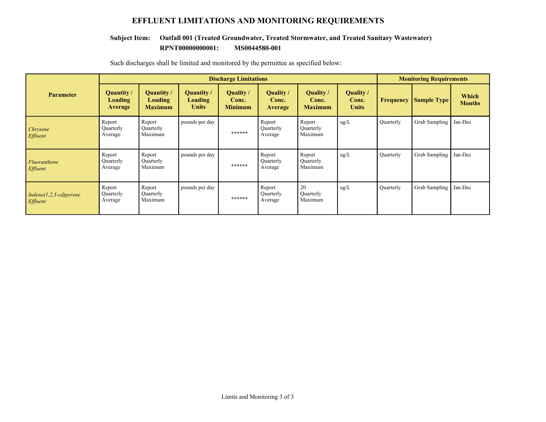### **EFFLUENT LIMITATIONS AND MONITORING REQUIREMENTS**

#### **RPNT00000000001: MS0044580-001 Subject Item: Outfall 001 (Treated Groundwater, Treated Stormwater, and Treated Sanitary Wastewater)**

|                                             |                                  | <b>Discharge Limitations</b>            |                                                     |                                      |                                     |                                      |                                    |                  |                    | <b>Monitoring Requirements</b> |  |  |
|---------------------------------------------|----------------------------------|-----------------------------------------|-----------------------------------------------------|--------------------------------------|-------------------------------------|--------------------------------------|------------------------------------|------------------|--------------------|--------------------------------|--|--|
| <b>Parameter</b>                            | Quantity /<br>Loading<br>Average | Quantity /<br>Loading<br><b>Maximum</b> | <b>Quantity</b> /<br><b>Loading</b><br><b>Units</b> | Quality /<br>Conc.<br><b>Minimum</b> | Quality/<br>Conc.<br><b>Average</b> | Quality /<br>Conc.<br><b>Maximum</b> | Quality /<br>Conc.<br><b>Units</b> | <b>Frequency</b> | <b>Sample Type</b> | Which<br><b>Months</b>         |  |  |
| Chrysene<br><i>Effluent</i>                 | Report<br>Quarterly<br>Average   | Report<br>Quarterly<br>Maximum          | pounds per day                                      | ******                               | Report<br>Quarterly<br>Average      | Report<br>Quarterly<br>Maximum       | $\text{ug/L}$                      | Quarterly        | Grab Sampling      | Jan-Dec                        |  |  |
| Fluoranthene<br>Effluent                    | Report<br>Quarterly<br>Average   | Report<br>Quarterly<br>Maximum          | pounds per day                                      | ******                               | Report<br>Quarterly<br>Average      | Report<br>Quarterly<br>Maximum       | $\text{ug/L}$                      | Quarterly        | Grab Sampling      | Jan-Dec                        |  |  |
| $Indeno(1,2,3-cd)pyrene$<br><i>Effluent</i> | Report<br>Quarterly<br>Average   | Report<br>Quarterly<br>Maximum          | pounds per day                                      | ******                               | Report<br>Quarterly<br>Average      | 20<br>Quarterly<br>Maximum           | $\text{ug/L}$                      | Quarterly        | Grab Sampling      | Jan-Dec                        |  |  |

Such discharges shall be limited and monitored by the permittee as specified below: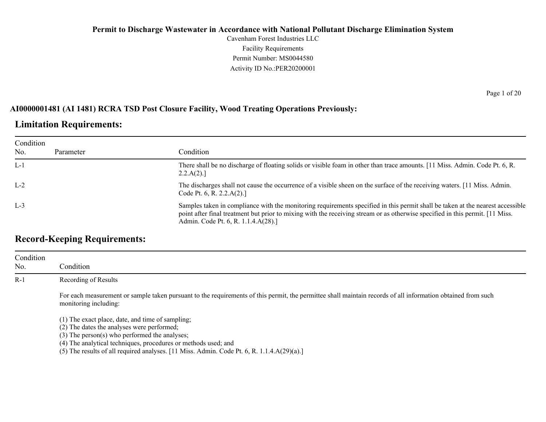Cavenham Forest Industries LLC Facility Requirements Permit Number: MS0044580 Activity ID No.:PER20200001

### **AI0000001481 (AI 1481) RCRA TSD Post Closure Facility, Wood Treating Operations Previously:**

### **Limitation Requirements:**

| Condition |           |                                                                                                                                                                                                                                                                                                        |
|-----------|-----------|--------------------------------------------------------------------------------------------------------------------------------------------------------------------------------------------------------------------------------------------------------------------------------------------------------|
| No.       | Parameter | Condition                                                                                                                                                                                                                                                                                              |
| $L-1$     |           | There shall be no discharge of floating solids or visible foam in other than trace amounts. [11 Miss. Admin. Code Pt. 6, R.<br>2.2.A(2).                                                                                                                                                               |
| $L-2$     |           | The discharges shall not cause the occurrence of a visible sheen on the surface of the receiving waters. [11 Miss. Admin.<br>Code Pt. 6, R. 2.2. $A(2)$ .]                                                                                                                                             |
| $L-3$     |           | Samples taken in compliance with the monitoring requirements specified in this permit shall be taken at the nearest accessible<br>point after final treatment but prior to mixing with the receiving stream or as otherwise specified in this permit. [11 Miss.<br>Admin. Code Pt. 6, R. 1.1.4.A(28).] |

### **Record-Keeping Requirements:**

| Condition<br>No. | Condition                                                                                                                                                                                                              |
|------------------|------------------------------------------------------------------------------------------------------------------------------------------------------------------------------------------------------------------------|
| $R-1$            | Recording of Results                                                                                                                                                                                                   |
|                  | For each measurement or sample taken pursuant to the requirements of this permit, the permittee shall maintain records of all information obtained from such<br>monitoring including:                                  |
|                  | (1) The exact place, date, and time of sampling;<br>(2) The dates the analyses were performed;<br>$(3)$ The person $(s)$ who performed the analyses;<br>(4) The analytical techniques, procedures or methods used; and |

(5) The results of all required analyses. [11 Miss. Admin. Code Pt. 6, R. 1.1.4.A(29)(a).]

Page 1 of 20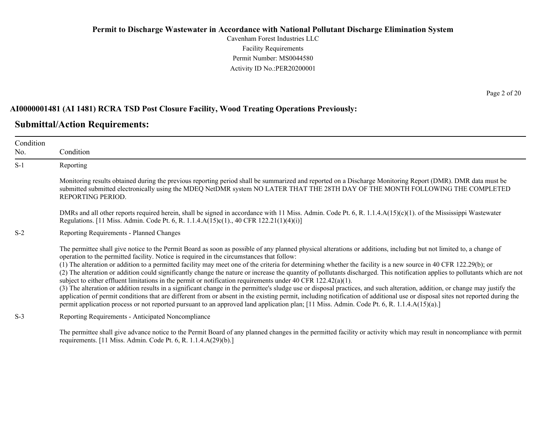Cavenham Forest Industries LLC Facility Requirements Permit Number: MS0044580 Activity ID No.:PER20200001

#### **AI0000001481 (AI 1481) RCRA TSD Post Closure Facility, Wood Treating Operations Previously:**

### **Submittal/Action Requirements:**

| Condition<br>No. | Condition                                                                                                                                                                                                                                                                                                                                                                                                                                                                                                                                                                                                                                                                                                                                                                                                                                                                                                                                                                                                                                                                                                                                                                                                                                               |
|------------------|---------------------------------------------------------------------------------------------------------------------------------------------------------------------------------------------------------------------------------------------------------------------------------------------------------------------------------------------------------------------------------------------------------------------------------------------------------------------------------------------------------------------------------------------------------------------------------------------------------------------------------------------------------------------------------------------------------------------------------------------------------------------------------------------------------------------------------------------------------------------------------------------------------------------------------------------------------------------------------------------------------------------------------------------------------------------------------------------------------------------------------------------------------------------------------------------------------------------------------------------------------|
| $S-1$            | Reporting                                                                                                                                                                                                                                                                                                                                                                                                                                                                                                                                                                                                                                                                                                                                                                                                                                                                                                                                                                                                                                                                                                                                                                                                                                               |
|                  | Monitoring results obtained during the previous reporting period shall be summarized and reported on a Discharge Monitoring Report (DMR). DMR data must be<br>submitted submitted electronically using the MDEQ NetDMR system NO LATER THAT THE 28TH DAY OF THE MONTH FOLLOWING THE COMPLETED<br>REPORTING PERIOD.                                                                                                                                                                                                                                                                                                                                                                                                                                                                                                                                                                                                                                                                                                                                                                                                                                                                                                                                      |
|                  | DMRs and all other reports required herein, shall be signed in accordance with 11 Miss. Admin. Code Pt. 6, R. 1.1.4. $A(15)(c)(1)$ . of the Mississippi Wastewater<br>Regulations. [11 Miss. Admin. Code Pt. 6, R. 1.1.4.A(15)c(1)., 40 CFR 122.21(1)(4)(i)]                                                                                                                                                                                                                                                                                                                                                                                                                                                                                                                                                                                                                                                                                                                                                                                                                                                                                                                                                                                            |
| $S-2$            | Reporting Requirements - Planned Changes                                                                                                                                                                                                                                                                                                                                                                                                                                                                                                                                                                                                                                                                                                                                                                                                                                                                                                                                                                                                                                                                                                                                                                                                                |
|                  | The permittee shall give notice to the Permit Board as soon as possible of any planned physical alterations or additions, including but not limited to, a change of<br>operation to the permitted facility. Notice is required in the circumstances that follow:<br>(1) The alteration or addition to a permitted facility may meet one of the criteria for determining whether the facility is a new source in 40 CFR 122.29(b); or<br>(2) The alteration or addition could significantly change the nature or increase the quantity of pollutants discharged. This notification applies to pollutants which are not<br>subject to either effluent limitations in the permit or notification requirements under 40 CFR $122.42(a)(1)$ .<br>(3) The alteration or addition results in a significant change in the permittee's sludge use or disposal practices, and such alteration, addition, or change may justify the<br>application of permit conditions that are different from or absent in the existing permit, including notification of additional use or disposal sites not reported during the<br>permit application process or not reported pursuant to an approved land application plan; [11 Miss. Admin. Code Pt. 6, R. 1.1.4.A(15)(a).] |
| $S-3$            | Reporting Requirements - Anticipated Noncompliance                                                                                                                                                                                                                                                                                                                                                                                                                                                                                                                                                                                                                                                                                                                                                                                                                                                                                                                                                                                                                                                                                                                                                                                                      |

The permittee shall give advance notice to the Permit Board of any planned changes in the permitted facility or activity which may result in noncompliance with permit requirements. [11 Miss. Admin. Code Pt. 6, R. 1.1.4.A(29)(b).]

Page 2 of 20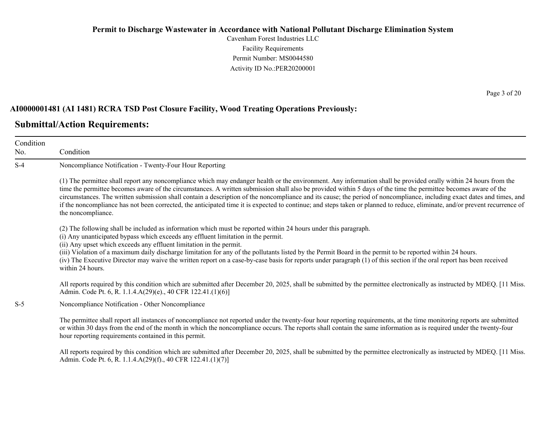Cavenham Forest Industries LLC Facility Requirements Permit Number: MS0044580 Activity ID No.:PER20200001

#### **AI0000001481 (AI 1481) RCRA TSD Post Closure Facility, Wood Treating Operations Previously:**

### **Submittal/Action Requirements:**

Condition No. Condition S-4 Noncompliance Notification - Twenty-Four Hour Reporting (1) The permittee shall report any noncompliance which may endanger health or the environment. Any information shall be provided orally within 24 hours from the time the permittee becomes aware of the circumstances. A written submission shall also be provided within 5 days of the time the permittee becomes aware of the circumstances. The written submission shall contain a description of the noncompliance and its cause; the period of noncompliance, including exact dates and times, and if the noncompliance has not been corrected, the anticipated time it is expected to continue; and steps taken or planned to reduce, eliminate, and/or prevent recurrence of the noncompliance. (2) The following shall be included as information which must be reported within 24 hours under this paragraph. (i) Any unanticipated bypass which exceeds any effluent limitation in the permit. (ii) Any upset which exceeds any effluent limitation in the permit. (iii) Violation of a maximum daily discharge limitation for any of the pollutants listed by the Permit Board in the permit to be reported within 24 hours. (iv) The Executive Director may waive the written report on a case-by-case basis for reports under paragraph (1) of this section if the oral report has been received within 24 hours. All reports required by this condition which are submitted after December 20, 2025, shall be submitted by the permittee electronically as instructed by MDEQ. [11 Miss.] Admin. Code Pt. 6, R. 1.1.4.A(29)(e)., 40 CFR 122.41.(1)(6)] S-5 Noncompliance Notification - Other Noncompliance The permittee shall report all instances of noncompliance not reported under the twenty-four hour reporting requirements, at the time monitoring reports are submitted or within 30 days from the end of the month in which the noncompliance occurs. The reports shall contain the same information as is required under the twenty-four hour reporting requirements contained in this permit.

All reports required by this condition which are submitted after December 20, 2025, shall be submitted by the permittee electronically as instructed by MDEQ. [11 Miss.] Admin. Code Pt. 6, R. 1.1.4.A(29)(f)., 40 CFR 122.41.(1)(7)]

Page 3 of 20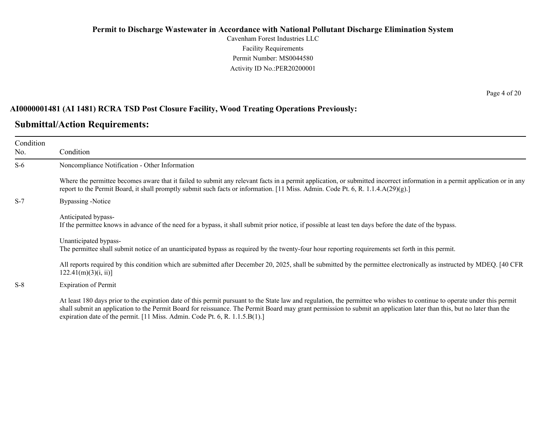Cavenham Forest Industries LLC Facility Requirements Permit Number: MS0044580 Activity ID No.:PER20200001

#### **AI0000001481 (AI 1481) RCRA TSD Post Closure Facility, Wood Treating Operations Previously:**

#### **Submittal/Action Requirements:**

Condition No.

Condition S-6 Noncompliance Notification - Other Information Where the permittee becomes aware that it failed to submit any relevant facts in a permit application, or submitted incorrect information in a permit application or in any report to the Permit Board, it shall promptly submit such facts or information. [11 Miss. Admin. Code Pt. 6, R. 1.1.4.A(29)(g).] S-7 Bypassing -Notice Anticipated bypass-If the permittee knows in advance of the need for a bypass, it shall submit prior notice, if possible at least ten days before the date of the bypass. Unanticipated bypass-The permittee shall submit notice of an unanticipated bypass as required by the twenty-four hour reporting requirements set forth in this permit.

All reports required by this condition which are submitted after December 20, 2025, shall be submitted by the permittee electronically as instructed by MDEQ. [40 CFR  $122.41(m)(3)(i, ii)$ ]

S-8 Expiration of Permit

At least 180 days prior to the expiration date of this permit pursuant to the State law and regulation, the permittee who wishes to continue to operate under this permit shall submit an application to the Permit Board for reissuance. The Permit Board may grant permission to submit an application later than this, but no later than the expiration date of the permit. [11 Miss. Admin. Code Pt. 6, R. 1.1.5.B(1).]

Page 4 of 20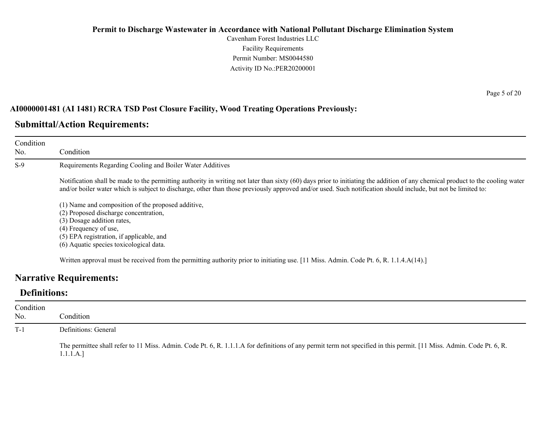Cavenham Forest Industries LLC Facility Requirements Permit Number: MS0044580 Activity ID No.:PER20200001

#### **AI0000001481 (AI 1481) RCRA TSD Post Closure Facility, Wood Treating Operations Previously:**

### **Submittal/Action Requirements:**

| Condition<br>No. | Condition                                                                                                                                                                                                                                                                                                                                       |
|------------------|-------------------------------------------------------------------------------------------------------------------------------------------------------------------------------------------------------------------------------------------------------------------------------------------------------------------------------------------------|
| $S-9$            | Requirements Regarding Cooling and Boiler Water Additives                                                                                                                                                                                                                                                                                       |
|                  | Notification shall be made to the permitting authority in writing not later than sixty (60) days prior to initiating the addition of any chemical product to the cooling water<br>and/or boiler water which is subject to discharge, other than those previously approved and/or used. Such notification should include, but not be limited to: |
|                  | (1) Name and composition of the proposed additive,<br>(2) Proposed discharge concentration,<br>(3) Dosage addition rates,<br>(4) Frequency of use,<br>(5) EPA registration, if applicable, and<br>(6) Aquatic species toxicological data.                                                                                                       |

### **Narrative Requirements:**

### **Definitions:**

| Condition<br>No. | Condition                                                                                                                                                                         |
|------------------|-----------------------------------------------------------------------------------------------------------------------------------------------------------------------------------|
| $T-1$            | Definitions: General                                                                                                                                                              |
|                  | The permittee shall refer to 11 Miss. Admin. Code Pt. 6, R. 1.1.1.A for definitions of any permit term not specified in this permit. [11 Miss. Admin. Code Pt. 6, R.<br>1.1.1.A.] |

Page 5 of 20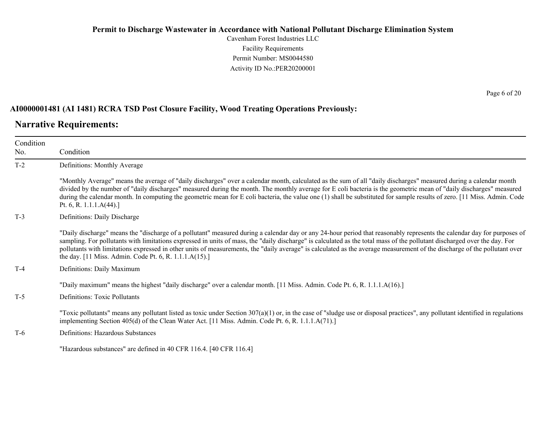Cavenham Forest Industries LLC Facility Requirements Permit Number: MS0044580 Activity ID No.:PER20200001

#### **AI0000001481 (AI 1481) RCRA TSD Post Closure Facility, Wood Treating Operations Previously:**

### **Narrative Requirements:**

| Condition<br>No. | Condition                                                                                                                                                                                                                                                                                                                                                                                                                                                                                                                                                                                   |  |  |
|------------------|---------------------------------------------------------------------------------------------------------------------------------------------------------------------------------------------------------------------------------------------------------------------------------------------------------------------------------------------------------------------------------------------------------------------------------------------------------------------------------------------------------------------------------------------------------------------------------------------|--|--|
| $T-2$            | Definitions: Monthly Average                                                                                                                                                                                                                                                                                                                                                                                                                                                                                                                                                                |  |  |
|                  | "Monthly Average" means the average of "daily discharges" over a calendar month, calculated as the sum of all "daily discharges" measured during a calendar month<br>divided by the number of "daily discharges" measured during the month. The monthly average for E coli bacteria is the geometric mean of "daily discharges" measured<br>during the calendar month. In computing the geometric mean for E coli bacteria, the value one (1) shall be substituted for sample results of zero. [11 Miss. Admin. Code<br>Pt. 6, R. 1.1.1. $A(44)$ .]                                         |  |  |
| $T-3$            | Definitions: Daily Discharge                                                                                                                                                                                                                                                                                                                                                                                                                                                                                                                                                                |  |  |
|                  | "Daily discharge" means the "discharge of a pollutant" measured during a calendar day or any 24-hour period that reasonably represents the calendar day for purposes of<br>sampling. For pollutants with limitations expressed in units of mass, the "daily discharge" is calculated as the total mass of the pollutant discharged over the day. For<br>pollutants with limitations expressed in other units of measurements, the "daily average" is calculated as the average measurement of the discharge of the pollutant over<br>the day. [11 Miss. Admin. Code Pt. 6, R. 1.1.1.A(15).] |  |  |
| $T-4$            | Definitions: Daily Maximum                                                                                                                                                                                                                                                                                                                                                                                                                                                                                                                                                                  |  |  |
|                  | "Daily maximum" means the highest "daily discharge" over a calendar month. [11 Miss. Admin. Code Pt. 6, R. 1.1.1.A(16).]                                                                                                                                                                                                                                                                                                                                                                                                                                                                    |  |  |
| $T-5$            | <b>Definitions: Toxic Pollutants</b>                                                                                                                                                                                                                                                                                                                                                                                                                                                                                                                                                        |  |  |
|                  | "Toxic pollutants" means any pollutant listed as toxic under Section $307(a)(1)$ or, in the case of "sludge use or disposal practices", any pollutant identified in regulations<br>implementing Section 405(d) of the Clean Water Act. [11 Miss. Admin. Code Pt. 6, R. 1.1.1.A(71).]                                                                                                                                                                                                                                                                                                        |  |  |
| $T-6$            | Definitions: Hazardous Substances                                                                                                                                                                                                                                                                                                                                                                                                                                                                                                                                                           |  |  |
|                  | "Hazardous substances" are defined in 40 CFR 116.4. [40 CFR 116.4]                                                                                                                                                                                                                                                                                                                                                                                                                                                                                                                          |  |  |

Page 6 of 20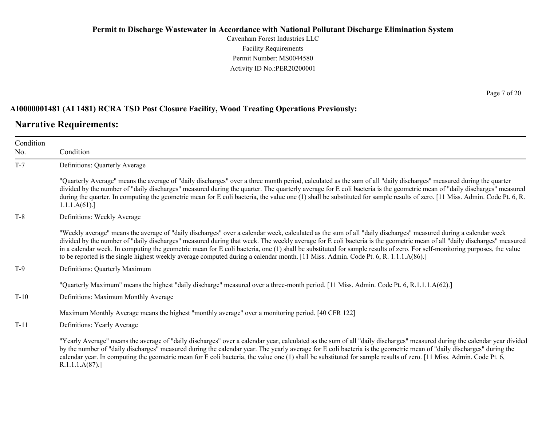Cavenham Forest Industries LLC Facility Requirements Permit Number: MS0044580 Activity ID No.:PER20200001

#### **AI0000001481 (AI 1481) RCRA TSD Post Closure Facility, Wood Treating Operations Previously:**

### **Narrative Requirements:**

| Condition<br>No. | Condition                                                                                                                                                                                                                                                                                                                                                                                                                                                                                                                                                                                                                                                    |  |
|------------------|--------------------------------------------------------------------------------------------------------------------------------------------------------------------------------------------------------------------------------------------------------------------------------------------------------------------------------------------------------------------------------------------------------------------------------------------------------------------------------------------------------------------------------------------------------------------------------------------------------------------------------------------------------------|--|
| $T-7$            | Definitions: Quarterly Average                                                                                                                                                                                                                                                                                                                                                                                                                                                                                                                                                                                                                               |  |
|                  | "Quarterly Average" means the average of "daily discharges" over a three month period, calculated as the sum of all "daily discharges" measured during the quarter<br>divided by the number of "daily discharges" measured during the quarter. The quarterly average for E coli bacteria is the geometric mean of "daily discharges" measured<br>during the quarter. In computing the geometric mean for E coli bacteria, the value one (1) shall be substituted for sample results of zero. [11 Miss. Admin. Code Pt. 6, R.<br>1.1.1.A(61).                                                                                                                 |  |
| $T-8$            | Definitions: Weekly Average                                                                                                                                                                                                                                                                                                                                                                                                                                                                                                                                                                                                                                  |  |
|                  | "Weekly average" means the average of "daily discharges" over a calendar week, calculated as the sum of all "daily discharges" measured during a calendar week<br>divided by the number of "daily discharges" measured during that week. The weekly average for E coli bacteria is the geometric mean of all "daily discharges" measured<br>in a calendar week. In computing the geometric mean for E coli bacteria, one (1) shall be substituted for sample results of zero. For self-monitoring purposes, the value<br>to be reported is the single highest weekly average computed during a calendar month. [11 Miss. Admin. Code Pt. 6, R. 1.1.1.A(86).] |  |
| $T-9$            | Definitions: Quarterly Maximum                                                                                                                                                                                                                                                                                                                                                                                                                                                                                                                                                                                                                               |  |
|                  | "Quarterly Maximum" means the highest "daily discharge" measured over a three-month period. [11 Miss. Admin. Code Pt. 6, R.1.1.1.A(62).]                                                                                                                                                                                                                                                                                                                                                                                                                                                                                                                     |  |
| $T-10$           | Definitions: Maximum Monthly Average                                                                                                                                                                                                                                                                                                                                                                                                                                                                                                                                                                                                                         |  |
|                  | Maximum Monthly Average means the highest "monthly average" over a monitoring period. [40 CFR 122]                                                                                                                                                                                                                                                                                                                                                                                                                                                                                                                                                           |  |
| $T-11$           | Definitions: Yearly Average                                                                                                                                                                                                                                                                                                                                                                                                                                                                                                                                                                                                                                  |  |
|                  | "Yearly Average" means the average of "daily discharges" over a calendar year, calculated as the sum of all "daily discharges" measured during the calendar year divided<br>by the number of "daily discharges" measured during the calendar year. The yearly average for E coli bacteria is the geometric mean of "daily discharges" during the<br>calendar year. In computing the geometric mean for E coli bacteria, the value one (1) shall be substituted for sample results of zero. [11 Miss. Admin. Code Pt. 6,<br>R.1.1.1.A(87).                                                                                                                    |  |

Page 7 of 20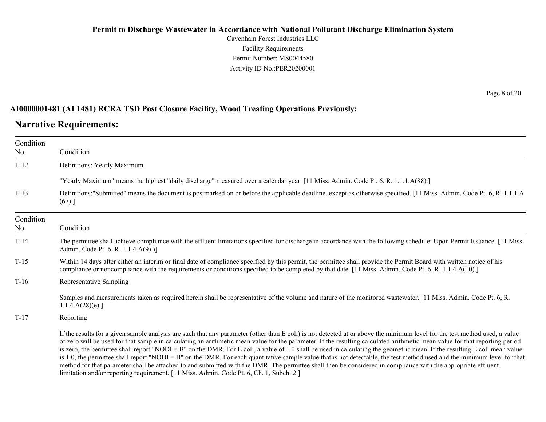Cavenham Forest Industries LLC Facility Requirements Permit Number: MS0044580 Activity ID No.:PER20200001

#### **AI0000001481 (AI 1481) RCRA TSD Post Closure Facility, Wood Treating Operations Previously:**

#### **Narrative Requirements:**

Condition No. Condition T-12 Definitions: Yearly Maximum "Yearly Maximum" means the highest "daily discharge" measured over a calendar year. [11 Miss. Admin. Code Pt. 6, R. 1.1.1.A(88).] T-13 Definitions:"Submitted" means the document is postmarked on or before the applicable deadline, except as otherwise specified. [11 Miss. Admin. Code Pt. 6, R. 1.1.1.A  $(67).$ Condition No. Condition T-14 The permittee shall achieve compliance with the effluent limitations specified for discharge in accordance with the following schedule: Upon Permit Issuance. [11 Miss. Admin. Code Pt. 6, R. 1.1.4.A(9).)] T-15 Within 14 days after either an interim or final date of compliance specified by this permit, the permittee shall provide the Permit Board with written notice of his compliance or noncompliance with the requirements or conditions specified to be completed by that date. [11 Miss. Admin. Code Pt. 6, R. 1.1.4.A(10).] T-16 Representative Sampling Samples and measurements taken as required herein shall be representative of the volume and nature of the monitored wastewater. [11 Miss. Admin. Code Pt. 6, R.  $1.1.4.A(28)(e).$ T-17 Reporting If the results for a given sample analysis are such that any parameter (other than E coli) is not detected at or above the minimum level for the test method used, a value of zero will be used for that sample in calculating an arithmetic mean value for the parameter. If the resulting calculated arithmetic mean value for that reporting period is zero, the permittee shall report "NODI = B" on the DMR. For E coli, a value of 1.0 shall be used in calculating the geometric mean. If the resulting E coli mean value is 1.0, the permittee shall report "NODI = B" on the DMR. For each quantitative sample value that is not detectable, the test method used and the minimum level for that method for that parameter shall be attached to and submitted with the DMR. The permittee shall then be considered in compliance with the appropriate effluent limitation and/or reporting requirement. [11 Miss. Admin. Code Pt. 6, Ch. 1, Subch. 2.]

Page 8 of 20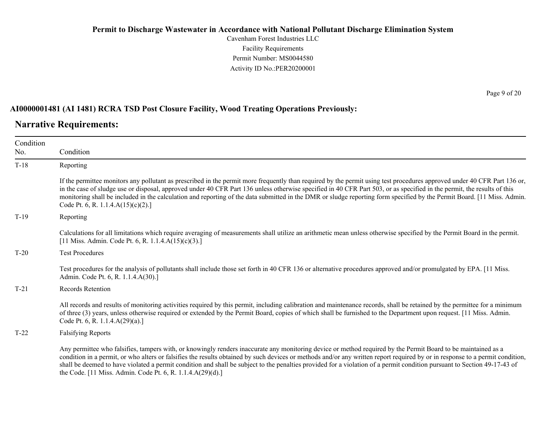Cavenham Forest Industries LLC Facility Requirements Permit Number: MS0044580 Activity ID No.:PER20200001

#### **AI0000001481 (AI 1481) RCRA TSD Post Closure Facility, Wood Treating Operations Previously:**

### **Narrative Requirements:**

| Condition |                                                                                                                                                                                                                                                                                                                                                                                                                                                                                                                                                                                          |  |  |
|-----------|------------------------------------------------------------------------------------------------------------------------------------------------------------------------------------------------------------------------------------------------------------------------------------------------------------------------------------------------------------------------------------------------------------------------------------------------------------------------------------------------------------------------------------------------------------------------------------------|--|--|
| No.       | Condition                                                                                                                                                                                                                                                                                                                                                                                                                                                                                                                                                                                |  |  |
| $T-18$    | Reporting                                                                                                                                                                                                                                                                                                                                                                                                                                                                                                                                                                                |  |  |
|           | If the permittee monitors any pollutant as prescribed in the permit more frequently than required by the permit using test procedures approved under 40 CFR Part 136 or,<br>in the case of sludge use or disposal, approved under 40 CFR Part 136 unless otherwise specified in 40 CFR Part 503, or as specified in the permit, the results of this<br>monitoring shall be included in the calculation and reporting of the data submitted in the DMR or sludge reporting form specified by the Permit Board. [11 Miss. Admin.<br>Code Pt. 6, R. 1.1.4. $A(15)(c)(2)$ .]                 |  |  |
| $T-19$    | Reporting                                                                                                                                                                                                                                                                                                                                                                                                                                                                                                                                                                                |  |  |
|           | Calculations for all limitations which require averaging of measurements shall utilize an arithmetic mean unless otherwise specified by the Permit Board in the permit.<br>[11 Miss. Admin. Code Pt. 6, R. 1.1.4.A(15)(c)(3).]                                                                                                                                                                                                                                                                                                                                                           |  |  |
| $T-20$    | <b>Test Procedures</b>                                                                                                                                                                                                                                                                                                                                                                                                                                                                                                                                                                   |  |  |
|           | Test procedures for the analysis of pollutants shall include those set forth in 40 CFR 136 or alternative procedures approved and/or promulgated by EPA. [11 Miss.]<br>Admin. Code Pt. 6, R. 1.1.4.A(30).]                                                                                                                                                                                                                                                                                                                                                                               |  |  |
| $T-21$    | <b>Records Retention</b>                                                                                                                                                                                                                                                                                                                                                                                                                                                                                                                                                                 |  |  |
|           | All records and results of monitoring activities required by this permit, including calibration and maintenance records, shall be retained by the permittee for a minimum<br>of three (3) years, unless otherwise required or extended by the Permit Board, copies of which shall be furnished to the Department upon request. [11 Miss. Admin.<br>Code Pt. 6, R. 1.1.4.A(29)(a).]                                                                                                                                                                                                       |  |  |
| $T-22$    | <b>Falsifying Reports</b>                                                                                                                                                                                                                                                                                                                                                                                                                                                                                                                                                                |  |  |
|           | Any permittee who falsifies, tampers with, or knowingly renders inaccurate any monitoring device or method required by the Permit Board to be maintained as a<br>condition in a permit, or who alters or falsifies the results obtained by such devices or methods and/or any written report required by or in response to a permit condition,<br>shall be deemed to have violated a permit condition and shall be subject to the penalties provided for a violation of a permit condition pursuant to Section 49-17-43 of<br>the Code. [11 Miss. Admin. Code Pt. 6, R. 1.1.4.A(29)(d).] |  |  |

Page 9 of 20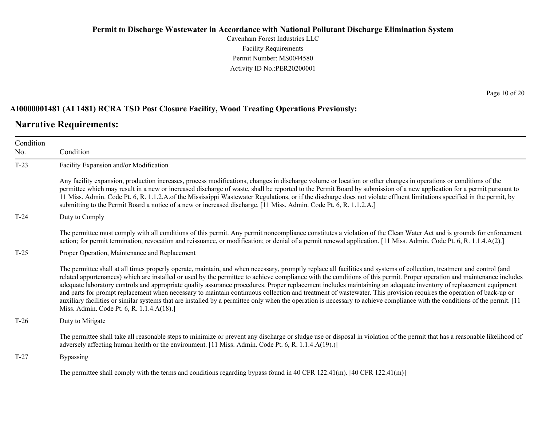Cavenham Forest Industries LLC Facility Requirements Permit Number: MS0044580 Activity ID No.:PER20200001

#### **AI0000001481 (AI 1481) RCRA TSD Post Closure Facility, Wood Treating Operations Previously:**

### **Narrative Requirements:**

Page 10 of 20

| Condition<br>No. | Condition                                                                                                                                                                                                                                                                                                                                                                                                                                                                                                                                                                                                                                                                                                                                                                                                                                                                                                                 |  |  |
|------------------|---------------------------------------------------------------------------------------------------------------------------------------------------------------------------------------------------------------------------------------------------------------------------------------------------------------------------------------------------------------------------------------------------------------------------------------------------------------------------------------------------------------------------------------------------------------------------------------------------------------------------------------------------------------------------------------------------------------------------------------------------------------------------------------------------------------------------------------------------------------------------------------------------------------------------|--|--|
|                  |                                                                                                                                                                                                                                                                                                                                                                                                                                                                                                                                                                                                                                                                                                                                                                                                                                                                                                                           |  |  |
| $T-23$           | Facility Expansion and/or Modification                                                                                                                                                                                                                                                                                                                                                                                                                                                                                                                                                                                                                                                                                                                                                                                                                                                                                    |  |  |
|                  | Any facility expansion, production increases, process modifications, changes in discharge volume or location or other changes in operations or conditions of the<br>permittee which may result in a new or increased discharge of waste, shall be reported to the Permit Board by submission of a new application for a permit pursuant to<br>11 Miss. Admin. Code Pt. 6, R. 1.1.2.A. of the Mississippi Wastewater Regulations, or if the discharge does not violate effluent limitations specified in the permit, by<br>submitting to the Permit Board a notice of a new or increased discharge. [11 Miss. Admin. Code Pt. 6, R. 1.1.2.A.]                                                                                                                                                                                                                                                                              |  |  |
| $T-24$           | Duty to Comply                                                                                                                                                                                                                                                                                                                                                                                                                                                                                                                                                                                                                                                                                                                                                                                                                                                                                                            |  |  |
|                  | The permittee must comply with all conditions of this permit. Any permit noncompliance constitutes a violation of the Clean Water Act and is grounds for enforcement<br>action; for permit termination, revocation and reissuance, or modification; or denial of a permit renewal application. [11 Miss. Admin. Code Pt. 6, R. 1.1.4.A(2).]                                                                                                                                                                                                                                                                                                                                                                                                                                                                                                                                                                               |  |  |
| $T-25$           | Proper Operation, Maintenance and Replacement                                                                                                                                                                                                                                                                                                                                                                                                                                                                                                                                                                                                                                                                                                                                                                                                                                                                             |  |  |
|                  | The permittee shall at all times properly operate, maintain, and when necessary, promptly replace all facilities and systems of collection, treatment and control (and<br>related appurtenances) which are installed or used by the permittee to achieve compliance with the conditions of this permit. Proper operation and maintenance includes<br>adequate laboratory controls and appropriate quality assurance procedures. Proper replacement includes maintaining an adequate inventory of replacement equipment<br>and parts for prompt replacement when necessary to maintain continuous collection and treatment of wastewater. This provision requires the operation of back-up or<br>auxiliary facilities or similar systems that are installed by a permittee only when the operation is necessary to achieve compliance with the conditions of the permit. [11]<br>Miss. Admin. Code Pt. 6, R. 1.1.4.A(18).] |  |  |
| $T-26$           | Duty to Mitigate                                                                                                                                                                                                                                                                                                                                                                                                                                                                                                                                                                                                                                                                                                                                                                                                                                                                                                          |  |  |
|                  | The permittee shall take all reasonable steps to minimize or prevent any discharge or sludge use or disposal in violation of the permit that has a reasonable likelihood of<br>adversely affecting human health or the environment. [11 Miss. Admin. Code Pt. 6, R. 1.1.4.A(19).)]                                                                                                                                                                                                                                                                                                                                                                                                                                                                                                                                                                                                                                        |  |  |
| $T-27$           | <b>Bypassing</b>                                                                                                                                                                                                                                                                                                                                                                                                                                                                                                                                                                                                                                                                                                                                                                                                                                                                                                          |  |  |
|                  | The permittee shall comply with the terms and conditions regarding bypass found in 40 CFR 122.41(m). [40 CFR 122.41(m)]                                                                                                                                                                                                                                                                                                                                                                                                                                                                                                                                                                                                                                                                                                                                                                                                   |  |  |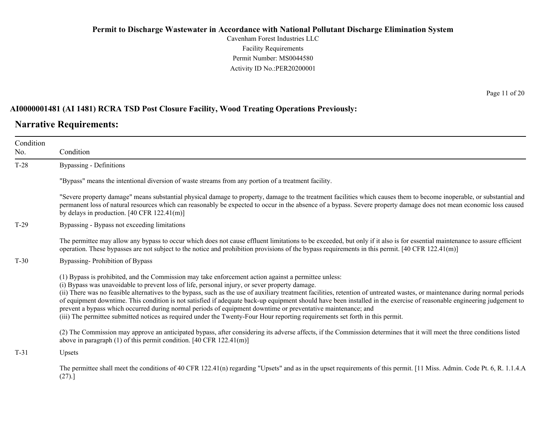Cavenham Forest Industries LLC Facility Requirements Permit Number: MS0044580 Activity ID No.:PER20200001

#### **AI0000001481 (AI 1481) RCRA TSD Post Closure Facility, Wood Treating Operations Previously:**

### **Narrative Requirements:**

Condition No. Condition T-28 Bypassing - Definitions "Bypass" means the intentional diversion of waste streams from any portion of a treatment facility. "Severe property damage" means substantial physical damage to property, damage to the treatment facilities which causes them to become inoperable, or substantial and permanent loss of natural resources which can reasonably be expected to occur in the absence of a bypass. Severe property damage does not mean economic loss caused by delays in production. [40 CFR 122.41(m)] T-29 Bypassing - Bypass not exceeding limitations The permittee may allow any bypass to occur which does not cause effluent limitations to be exceeded, but only if it also is for essential maintenance to assure efficient operation. These bypasses are not subject to the notice and prohibition provisions of the bypass requirements in this permit. [40 CFR 122.41(m)] T-30 Bypassing- Prohibition of Bypass (1) Bypass is prohibited, and the Commission may take enforcement action against a permittee unless: (i) Bypass was unavoidable to prevent loss of life, personal injury, or sever property damage. (ii) There was no feasible alternatives to the bypass, such as the use of auxiliary treatment facilities, retention of untreated wastes, or maintenance during normal periods of equipment downtime. This condition is not satisfied if adequate back-up equipment should have been installed in the exercise of reasonable engineering judgement to prevent a bypass which occurred during normal periods of equipment downtime or preventative maintenance; and (iii) The permittee submitted notices as required under the Twenty-Four Hour reporting requirements set forth in this permit. (2) The Commission may approve an anticipated bypass, after considering its adverse affects, if the Commission determines that it will meet the three conditions listed above in paragraph (1) of this permit condition. [40 CFR 122.41(m)] T-31 Upsets The permittee shall meet the conditions of 40 CFR 122.41(n) regarding "Upsets" and as in the upset requirements of this permit. [11 Miss. Admin. Code Pt. 6, R. 1.1.4.A (27).]

Page 11 of 20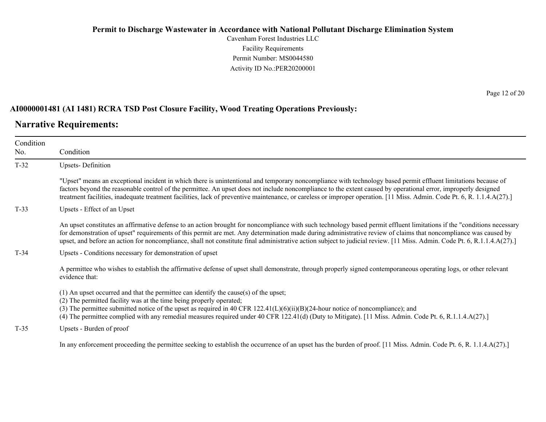Cavenham Forest Industries LLC Facility Requirements Permit Number: MS0044580 Activity ID No.:PER20200001

#### **AI0000001481 (AI 1481) RCRA TSD Post Closure Facility, Wood Treating Operations Previously:**

### **Narrative Requirements:**

| Condition<br>No. | Condition                                                                                                                                                                                                                                                                                                                                                                                                                                                                                                             |  |  |
|------------------|-----------------------------------------------------------------------------------------------------------------------------------------------------------------------------------------------------------------------------------------------------------------------------------------------------------------------------------------------------------------------------------------------------------------------------------------------------------------------------------------------------------------------|--|--|
| $T-32$           | <b>Upsets-Definition</b>                                                                                                                                                                                                                                                                                                                                                                                                                                                                                              |  |  |
|                  | "Upset" means an exceptional incident in which there is unintentional and temporary noncompliance with technology based permit effluent limitations because of<br>factors beyond the reasonable control of the permittee. An upset does not include noncompliance to the extent caused by operational error, improperly designed<br>treatment facilities, inadequate treatment facilities, lack of preventive maintenance, or careless or improper operation. [11 Miss. Admin. Code Pt. 6, R. 1.1.4.A(27).]           |  |  |
| $T-33$           | Upsets - Effect of an Upset                                                                                                                                                                                                                                                                                                                                                                                                                                                                                           |  |  |
|                  | An upset constitutes an affirmative defense to an action brought for noncompliance with such technology based permit effluent limitations if the "conditions necessary<br>for demonstration of upset" requirements of this permit are met. Any determination made during administrative review of claims that noncompliance was caused by<br>upset, and before an action for noncompliance, shall not constitute final administrative action subject to judicial review. [11 Miss. Admin. Code Pt. 6, R.1.1.4.A(27).] |  |  |
| $T-34$           | Upsets - Conditions necessary for demonstration of upset                                                                                                                                                                                                                                                                                                                                                                                                                                                              |  |  |
|                  | A permittee who wishes to establish the affirmative defense of upset shall demonstrate, through properly signed contemporaneous operating logs, or other relevant<br>evidence that:                                                                                                                                                                                                                                                                                                                                   |  |  |
|                  | (1) An upset occurred and that the permittee can identify the cause(s) of the upset;<br>(2) The permitted facility was at the time being properly operated;<br>(3) The permittee submitted notice of the upset as required in 40 CFR $122.41(L)(6)(ii)(B)(24-hour notice of noncompliance)$ ; and<br>(4) The permittee complied with any remedial measures required under 40 CFR 122.41(d) (Duty to Mitigate). [11 Miss. Admin. Code Pt. 6, R.1.1.4.A(27).]                                                           |  |  |
| $T-35$           | Upsets - Burden of proof                                                                                                                                                                                                                                                                                                                                                                                                                                                                                              |  |  |
|                  | In any enforcement proceeding the permittee seeking to establish the occurrence of an upset has the burden of proof. [11 Miss. Admin. Code Pt. 6, R. 1.1.4.A(27).]                                                                                                                                                                                                                                                                                                                                                    |  |  |

Page 12 of 20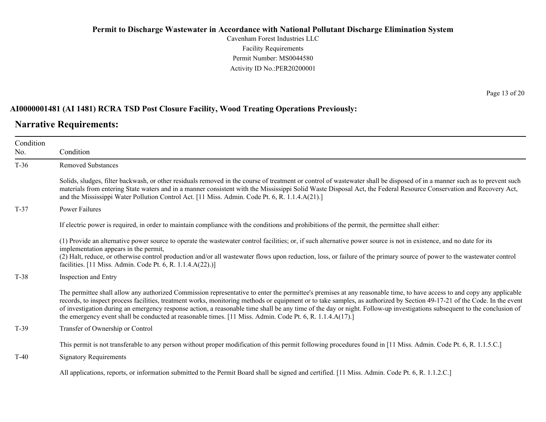Cavenham Forest Industries LLC Facility Requirements Permit Number: MS0044580 Activity ID No.:PER20200001

#### **AI0000001481 (AI 1481) RCRA TSD Post Closure Facility, Wood Treating Operations Previously:**

### **Narrative Requirements:**

Page 13 of 20

| Condition<br>No. | Condition                                                                                                                                                                                                                                                                                                                                                                                                                                                                                                                                                                                                                                  |
|------------------|--------------------------------------------------------------------------------------------------------------------------------------------------------------------------------------------------------------------------------------------------------------------------------------------------------------------------------------------------------------------------------------------------------------------------------------------------------------------------------------------------------------------------------------------------------------------------------------------------------------------------------------------|
| $T-36$           | <b>Removed Substances</b>                                                                                                                                                                                                                                                                                                                                                                                                                                                                                                                                                                                                                  |
|                  | Solids, sludges, filter backwash, or other residuals removed in the course of treatment or control of wastewater shall be disposed of in a manner such as to prevent such<br>materials from entering State waters and in a manner consistent with the Mississippi Solid Waste Disposal Act, the Federal Resource Conservation and Recovery Act,<br>and the Mississippi Water Pollution Control Act. [11 Miss. Admin. Code Pt. 6, R. 1.1.4.A(21).]                                                                                                                                                                                          |
| $T-37$           | <b>Power Failures</b>                                                                                                                                                                                                                                                                                                                                                                                                                                                                                                                                                                                                                      |
|                  | If electric power is required, in order to maintain compliance with the conditions and prohibitions of the permit, the permittee shall either:                                                                                                                                                                                                                                                                                                                                                                                                                                                                                             |
|                  | (1) Provide an alternative power source to operate the wastewater control facilities; or, if such alternative power source is not in existence, and no date for its<br>implementation appears in the permit,<br>(2) Halt, reduce, or otherwise control production and/or all wastewater flows upon reduction, loss, or failure of the primary source of power to the wastewater control<br>facilities. [11 Miss. Admin. Code Pt. 6, R. 1.1.4.A(22).)]                                                                                                                                                                                      |
| $T-38$           | Inspection and Entry                                                                                                                                                                                                                                                                                                                                                                                                                                                                                                                                                                                                                       |
|                  | The permittee shall allow any authorized Commission representative to enter the permittee's premises at any reasonable time, to have access to and copy any applicable<br>records, to inspect process facilities, treatment works, monitoring methods or equipment or to take samples, as authorized by Section 49-17-21 of the Code. In the event<br>of investigation during an emergency response action, a reasonable time shall be any time of the day or night. Follow-up investigations subsequent to the conclusion of<br>the emergency event shall be conducted at reasonable times. [11 Miss. Admin. Code Pt. 6, R. 1.1.4.A(17).] |
| $T-39$           | Transfer of Ownership or Control                                                                                                                                                                                                                                                                                                                                                                                                                                                                                                                                                                                                           |
|                  | This permit is not transferable to any person without proper modification of this permit following procedures found in [11 Miss. Admin. Code Pt. 6, R. 1.1.5.C.]                                                                                                                                                                                                                                                                                                                                                                                                                                                                           |
| $T-40$           | <b>Signatory Requirements</b>                                                                                                                                                                                                                                                                                                                                                                                                                                                                                                                                                                                                              |
|                  | All applications, reports, or information submitted to the Permit Board shall be signed and certified. [11 Miss. Admin. Code Pt. 6, R. 1.1.2.C.]                                                                                                                                                                                                                                                                                                                                                                                                                                                                                           |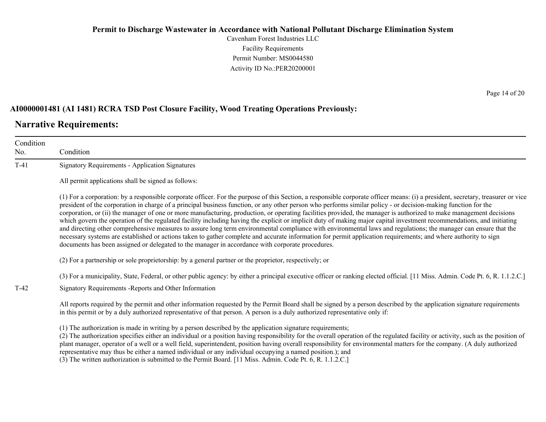Cavenham Forest Industries LLC Facility Requirements Permit Number: MS0044580 Activity ID No.:PER20200001

#### **AI0000001481 (AI 1481) RCRA TSD Post Closure Facility, Wood Treating Operations Previously:**

### **Narrative Requirements:**

Condition No. Condition T-41 Signatory Requirements - Application Signatures All permit applications shall be signed as follows: (1) For a corporation: by a responsible corporate officer. For the purpose of this Section, a responsible corporate officer means: (i) a president, secretary, treasurer or vice president of the corporation in charge of a principal business function, or any other person who performs similar policy - or decision-making function for the corporation, or (ii) the manager of one or more manufacturing, production, or operating facilities provided, the manager is authorized to make management decisions which govern the operation of the regulated facility including having the explicit or implicit duty of making major capital investment recommendations, and initiating and directing other comprehensive measures to assure long term environmental compliance with environmental laws and regulations; the manager can ensure that the necessary systems are established or actions taken to gather complete and accurate information for permit application requirements; and where authority to sign documents has been assigned or delegated to the manager in accordance with corporate procedures. (2) For a partnership or sole proprietorship: by a general partner or the proprietor, respectively; or (3) For a municipality, State, Federal, or other public agency: by either a principal executive officer or ranking elected official. [11 Miss. Admin. Code Pt. 6, R. 1.1.2.C.] T-42 Signatory Requirements -Reports and Other Information All reports required by the permit and other information requested by the Permit Board shall be signed by a person described by the application signature requirements in this permit or by a duly authorized representative of that person. A person is a duly authorized representative only if: (1) The authorization is made in writing by a person described by the application signature requirements; (2) The authorization specifies either an individual or a position having responsibility for the overall operation of the regulated facility or activity, such as the position of plant manager, operator of a well or a well field, superintendent, position having overall responsibility for environmental matters for the company. (A duly authorized

representative may thus be either a named individual or any individual occupying a named position.); and

(3) The written authorization is submitted to the Permit Board. [11 Miss. Admin. Code Pt. 6, R. 1.1.2.C.]

Page 14 of 20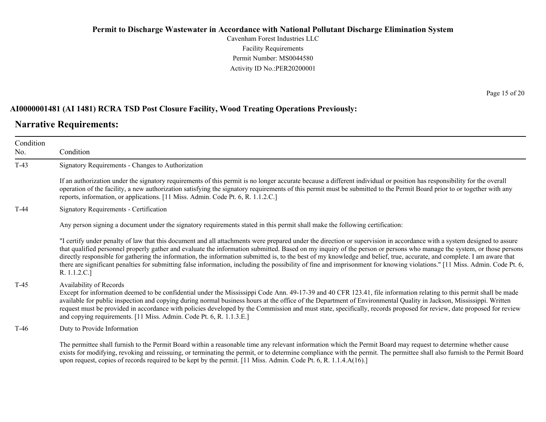Cavenham Forest Industries LLC Facility Requirements Permit Number: MS0044580 Activity ID No.:PER20200001

#### **AI0000001481 (AI 1481) RCRA TSD Post Closure Facility, Wood Treating Operations Previously:**

#### **Narrative Requirements:**

Condition No. Condition T-43 Signatory Requirements - Changes to Authorization If an authorization under the signatory requirements of this permit is no longer accurate because a different individual or position has responsibility for the overall operation of the facility, a new authorization satisfying the signatory requirements of this permit must be submitted to the Permit Board prior to or together with any reports, information, or applications. [11 Miss. Admin. Code Pt. 6, R. 1.1.2.C.] T-44 Signatory Requirements - Certification Any person signing a document under the signatory requirements stated in this permit shall make the following certification: "I certify under penalty of law that this document and all attachments were prepared under the direction or supervision in accordance with a system designed to assure that qualified personnel properly gather and evaluate the information submitted. Based on my inquiry of the person or persons who manage the system, or those persons directly responsible for gathering the information, the information submitted is, to the best of my knowledge and belief, true, accurate, and complete. I am aware that there are significant penalties for submitting false information, including the possibility of fine and imprisonment for knowing violations." [11 Miss. Admin. Code Pt. 6, R. 1.1.2.C.] T-45 Availability of Records Except for information deemed to be confidential under the Mississippi Code Ann. 49-17-39 and 40 CFR 123.41, file information relating to this permit shall be made available for public inspection and copying during normal business hours at the office of the Department of Environmental Quality in Jackson, Mississippi. Written request must be provided in accordance with policies developed by the Commission and must state, specifically, records proposed for review, date proposed for review and copying requirements. [11 Miss. Admin. Code Pt. 6, R. 1.1.3.E.] T-46 Duty to Provide Information The permittee shall furnish to the Permit Board within a reasonable time any relevant information which the Permit Board may request to determine whether cause exists for modifying, revoking and reissuing, or terminating the permit, or to determine compliance with the permit. The permittee shall also furnish to the Permit Board upon request, copies of records required to be kept by the permit. [11 Miss. Admin. Code Pt. 6, R. 1.1.4.A(16).]

Page 15 of 20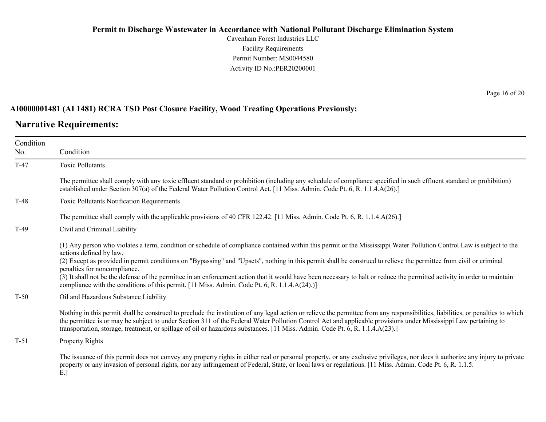Cavenham Forest Industries LLC Facility Requirements Permit Number: MS0044580 Activity ID No.:PER20200001

Page 16 of 20

#### **AI0000001481 (AI 1481) RCRA TSD Post Closure Facility, Wood Treating Operations Previously:**

### **Narrative Requirements:**

| Condition<br>No. | Condition                                                                                                                                                                                                                                                                                                                                                                                                                                                                                                                                                                                                                                                                            |
|------------------|--------------------------------------------------------------------------------------------------------------------------------------------------------------------------------------------------------------------------------------------------------------------------------------------------------------------------------------------------------------------------------------------------------------------------------------------------------------------------------------------------------------------------------------------------------------------------------------------------------------------------------------------------------------------------------------|
| $T-47$           | <b>Toxic Pollutants</b>                                                                                                                                                                                                                                                                                                                                                                                                                                                                                                                                                                                                                                                              |
|                  | The permittee shall comply with any toxic effluent standard or prohibition (including any schedule of compliance specified in such effluent standard or prohibition)<br>established under Section 307(a) of the Federal Water Pollution Control Act. [11 Miss. Admin. Code Pt. 6, R. 1.1.4.A(26).]                                                                                                                                                                                                                                                                                                                                                                                   |
| $T-48$           | Toxic Pollutants Notification Requirements                                                                                                                                                                                                                                                                                                                                                                                                                                                                                                                                                                                                                                           |
|                  | The permittee shall comply with the applicable provisions of 40 CFR 122.42. [11 Miss. Admin. Code Pt. 6, R. 1.1.4.A(26).]                                                                                                                                                                                                                                                                                                                                                                                                                                                                                                                                                            |
| $T-49$           | Civil and Criminal Liability                                                                                                                                                                                                                                                                                                                                                                                                                                                                                                                                                                                                                                                         |
|                  | (1) Any person who violates a term, condition or schedule of compliance contained within this permit or the Mississippi Water Pollution Control Law is subject to the<br>actions defined by law.<br>(2) Except as provided in permit conditions on "Bypassing" and "Upsets", nothing in this permit shall be construed to relieve the permittee from civil or criminal<br>penalties for noncompliance.<br>(3) It shall not be the defense of the permittee in an enforcement action that it would have been necessary to halt or reduce the permitted activity in order to maintain<br>compliance with the conditions of this permit. [11 Miss. Admin. Code Pt. 6, R. 1.1.4.A(24).)] |
| $T-50$           | Oil and Hazardous Substance Liability                                                                                                                                                                                                                                                                                                                                                                                                                                                                                                                                                                                                                                                |
|                  | Nothing in this permit shall be construed to preclude the institution of any legal action or relieve the permittee from any responsibilities, liabilities, or penalties to which<br>the permittee is or may be subject to under Section 311 of the Federal Water Pollution Control Act and applicable provisions under Mississippi Law pertaining to<br>transportation, storage, treatment, or spillage of oil or hazardous substances. [11 Miss. Admin. Code Pt. 6, R. 1.1.4.A(23).]                                                                                                                                                                                                |
| $T-51$           | <b>Property Rights</b>                                                                                                                                                                                                                                                                                                                                                                                                                                                                                                                                                                                                                                                               |
|                  | The issuance of this permit does not convey any property rights in either real or personal property, or any exclusive privileges, nor does it authorize any injury to private<br>property or any invasion of personal rights, nor any infringement of Federal, State, or local laws or regulations. [11 Miss. Admin. Code Pt. 6, R. 1.1.5.                                                                                                                                                                                                                                                                                                                                           |

E.]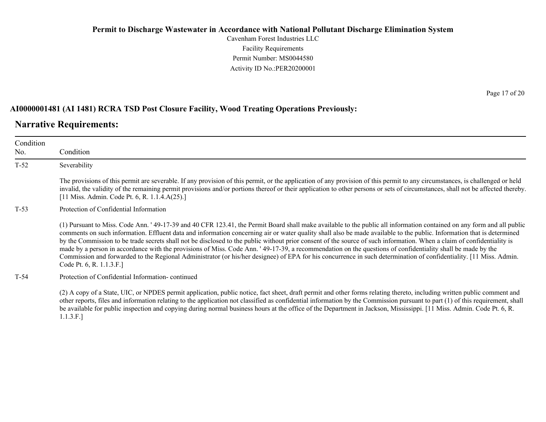Cavenham Forest Industries LLC Facility Requirements Permit Number: MS0044580 Activity ID No.:PER20200001

#### **AI0000001481 (AI 1481) RCRA TSD Post Closure Facility, Wood Treating Operations Previously:**

# **Narrative Requirements:**

| Condition<br>No. | Condition                                                                                                                                                                                                                                                                                                                                                                                                                                                                                                                                                                                                                                                                                                                                                                                                                                                                                 |  |
|------------------|-------------------------------------------------------------------------------------------------------------------------------------------------------------------------------------------------------------------------------------------------------------------------------------------------------------------------------------------------------------------------------------------------------------------------------------------------------------------------------------------------------------------------------------------------------------------------------------------------------------------------------------------------------------------------------------------------------------------------------------------------------------------------------------------------------------------------------------------------------------------------------------------|--|
| $T-52$           | Severability                                                                                                                                                                                                                                                                                                                                                                                                                                                                                                                                                                                                                                                                                                                                                                                                                                                                              |  |
|                  | The provisions of this permit are severable. If any provision of this permit, or the application of any provision of this permit to any circumstances, is challenged or held<br>invalid, the validity of the remaining permit provisions and/or portions thereof or their application to other persons or sets of circumstances, shall not be affected thereby.<br>[11 Miss. Admin. Code Pt. 6, R. 1.1.4.A(25).]                                                                                                                                                                                                                                                                                                                                                                                                                                                                          |  |
| $T-53$           | Protection of Confidential Information                                                                                                                                                                                                                                                                                                                                                                                                                                                                                                                                                                                                                                                                                                                                                                                                                                                    |  |
|                  | (1) Pursuant to Miss. Code Ann. '49-17-39 and 40 CFR 123.41, the Permit Board shall make available to the public all information contained on any form and all public<br>comments on such information. Effluent data and information concerning air or water quality shall also be made available to the public. Information that is determined<br>by the Commission to be trade secrets shall not be disclosed to the public without prior consent of the source of such information. When a claim of confidentiality is<br>made by a person in accordance with the provisions of Miss. Code Ann. '49-17-39, a recommendation on the questions of confidentiality shall be made by the<br>Commission and forwarded to the Regional Administrator (or his/her designee) of EPA for his concurrence in such determination of confidentiality. [11 Miss. Admin.<br>Code Pt. 6, R. 1.1.3.F.] |  |
| $T-54$           | Protection of Confidential Information-continued                                                                                                                                                                                                                                                                                                                                                                                                                                                                                                                                                                                                                                                                                                                                                                                                                                          |  |
|                  | (2) A copy of a State, UIC, or NPDES permit application, public notice, fact sheet, draft permit and other forms relating thereto, including written public comment and<br>other reports, files and information relating to the application not classified as confidential information by the Commission pursuant to part (1) of this requirement, shall<br>be available for public inspection and copying during normal business hours at the office of the Department in Jackson, Mississippi. [11 Miss. Admin. Code Pt. 6, R.                                                                                                                                                                                                                                                                                                                                                          |  |

1.1.3.F.]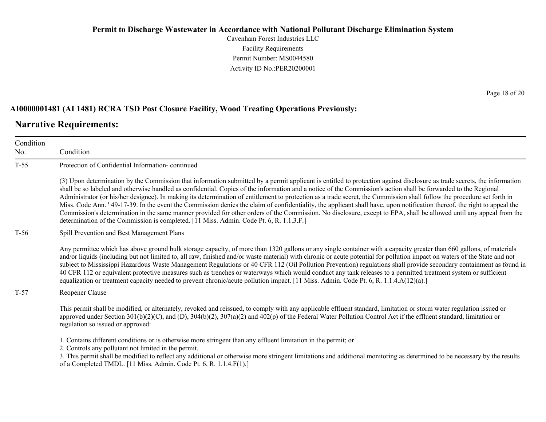Cavenham Forest Industries LLC Facility Requirements Permit Number: MS0044580 Activity ID No.:PER20200001

#### **AI0000001481 (AI 1481) RCRA TSD Post Closure Facility, Wood Treating Operations Previously:**

#### **Narrative Requirements:**

No.

Condition Condition T-55 Protection of Confidential Information- continued (3) Upon determination by the Commission that information submitted by a permit applicant is entitled to protection against disclosure as trade secrets, the information shall be so labeled and otherwise handled as confidential. Copies of the information and a notice of the Commission's action shall be forwarded to the Regional Administrator (or his/her designee). In making its determination of entitlement to protection as a trade secret, the Commission shall follow the procedure set forth in Miss. Code Ann. ' 49-17-39. In the event the Commission denies the claim of confidentiality, the applicant shall have, upon notification thereof, the right to appeal the Commission's determination in the same manner provided for other orders of the Commission. No disclosure, except to EPA, shall be allowed until any appeal from the determination of the Commission is completed. [11 Miss. Admin. Code Pt. 6, R. 1.1.3.F.] T-56 Spill Prevention and Best Management Plans Any permittee which has above ground bulk storage capacity, of more than 1320 gallons or any single container with a capacity greater than 660 gallons, of materials and/or liquids (including but not limited to, all raw, finished and/or waste material) with chronic or acute potential for pollution impact on waters of the State and not subject to Mississippi Hazardous Waste Management Regulations or 40 CFR 112 (Oil Pollution Prevention) regulations shall provide secondary containment as found in 40 CFR 112 or equivalent protective measures such as trenches or waterways which would conduct any tank releases to a permitted treatment system or sufficient equalization or treatment capacity needed to prevent chronic/acute pollution impact. [11 Miss. Admin. Code Pt. 6, R. 1.1.4.A(12)(a).] T-57 Reopener Clause This permit shall be modified, or alternately, revoked and reissued, to comply with any applicable effluent standard, limitation or storm water regulation issued or approved under Section  $301(b)(2)(C)$ , and  $(D)$ ,  $304(b)(2)$ ,  $307(a)(2)$  and  $402(p)$  of the Federal Water Pollution Control Act if the effluent standard, limitation or regulation so issued or approved: 1. Contains different conditions or is otherwise more stringent than any effluent limitation in the permit; or 2. Controls any pollutant not limited in the permit.

3. This permit shall be modified to reflect any additional or otherwise more stringent limitations and additional monitoring as determined to be necessary by the results of a Completed TMDL. [11 Miss. Admin. Code Pt. 6, R. 1.1.4.F(1).]

Page 18 of 20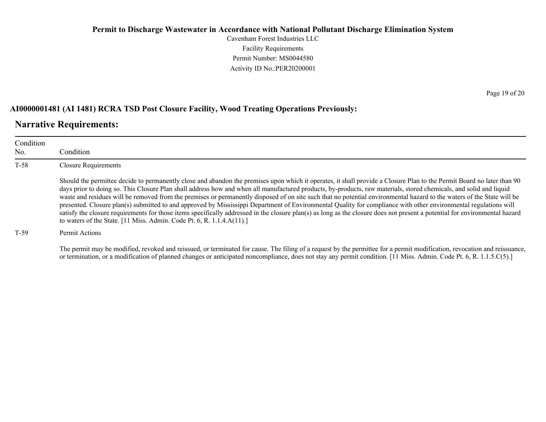Cavenham Forest Industries LLC Facility Requirements Permit Number: MS0044580 Activity ID No.:PER20200001

#### **AI0000001481 (AI 1481) RCRA TSD Post Closure Facility, Wood Treating Operations Previously:**

### **Narrative Requirements:**

| Condition<br>No. | Condition                                                                                                                                                                                                                                                                                                                                                                                                                                                                                                                                                                                                                                                                                                                                                                                                                                                                                                                                          |
|------------------|----------------------------------------------------------------------------------------------------------------------------------------------------------------------------------------------------------------------------------------------------------------------------------------------------------------------------------------------------------------------------------------------------------------------------------------------------------------------------------------------------------------------------------------------------------------------------------------------------------------------------------------------------------------------------------------------------------------------------------------------------------------------------------------------------------------------------------------------------------------------------------------------------------------------------------------------------|
| $T-58$           | Closure Requirements                                                                                                                                                                                                                                                                                                                                                                                                                                                                                                                                                                                                                                                                                                                                                                                                                                                                                                                               |
|                  | Should the permittee decide to permanently close and abandon the premises upon which it operates, it shall provide a Closure Plan to the Permit Board no later than 90<br>days prior to doing so. This Closure Plan shall address how and when all manufactured products, by-products, raw materials, stored chemicals, and solid and liquid<br>waste and residues will be removed from the premises or permanently disposed of on site such that no potential environmental hazard to the waters of the State will be<br>presented. Closure plan(s) submitted to and approved by Mississippi Department of Environmental Quality for compliance with other environmental regulations will<br>satisfy the closure requirements for those items specifically addressed in the closure plan(s) as long as the closure does not present a potential for environmental hazard<br>to waters of the State. [11 Miss. Admin. Code Pt. 6, R. 1.1.4.A(11).] |
| $T-59$           | Permit Actions                                                                                                                                                                                                                                                                                                                                                                                                                                                                                                                                                                                                                                                                                                                                                                                                                                                                                                                                     |

The permit may be modified, revoked and reissued, or terminated for cause. The filing of a request by the permittee for a permit modification, revocation and reissuance, or termination, or a modification of planned changes or anticipated noncompliance, does not stay any permit condition. [11 Miss. Admin. Code Pt. 6, R. 1.1.5.C(5).]

Page 19 of 20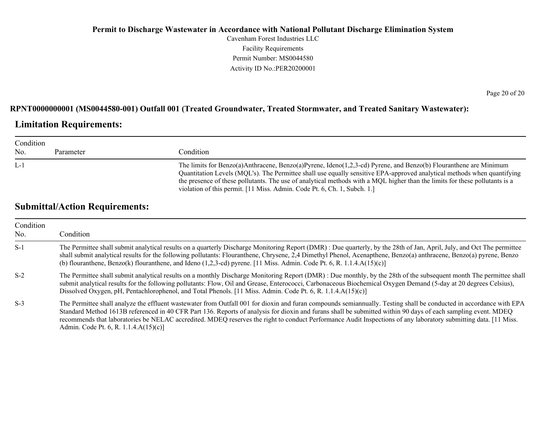Cavenham Forest Industries LLC Facility Requirements Permit Number: MS0044580 Activity ID No.:PER20200001

Page 20 of 20

#### **RPNT0000000001 (MS0044580-001) Outfall 001 (Treated Groundwater, Treated Stormwater, and Treated Sanitary Wastewater):**

### **Limitation Requirements:**

| Condition<br>No. | Parameter | Condition                                                                                                                                                                                                                                                                                                                                                                                                                                              |
|------------------|-----------|--------------------------------------------------------------------------------------------------------------------------------------------------------------------------------------------------------------------------------------------------------------------------------------------------------------------------------------------------------------------------------------------------------------------------------------------------------|
| $L-1$            |           | The limits for Benzo(a)Anthracene, Benzo(a)Pyrene, Ideno(1,2,3-cd) Pyrene, and Benzo(b) Flouranthene are Minimum<br>Quantitation Levels (MQL's). The Permittee shall use equally sensitive EPA-approved analytical methods when quantifying<br>the presence of these pollutants. The use of analytical methods with a MQL higher than the limits for these pollutants is a<br>violation of this permit. [11 Miss. Admin. Code Pt. 6, Ch. 1, Subch. 1.] |

# **Submittal/Action Requirements:**

| Condition<br>No. | Condition                                                                                                                                                                                                                                                                                                                                                                                                                                                                                                                                         |  |  |
|------------------|---------------------------------------------------------------------------------------------------------------------------------------------------------------------------------------------------------------------------------------------------------------------------------------------------------------------------------------------------------------------------------------------------------------------------------------------------------------------------------------------------------------------------------------------------|--|--|
| $S-1$            | The Permittee shall submit analytical results on a quarterly Discharge Monitoring Report (DMR) : Due quarterly, by the 28th of Jan, April, July, and Oct The permittee<br>shall submit analytical results for the following pollutants: Flouranthene, Chrysene, 2,4 Dimethyl Phenol, Acenapthene, Benzo(a) anthracene, Benzo(a) pyrene, Benzo<br>(b) flouranthene, Benzo(k) flouranthene, and Ideno $(1,2,3$ -cd) pyrene. [11 Miss. Admin. Code Pt. 6, R. 1.1.4.A(15)(c)]                                                                         |  |  |
| $S-2$            | The Permittee shall submit analytical results on a monthly Discharge Monitoring Report (DMR): Due monthly, by the 28th of the subsequent month The permittee shall<br>submit analytical results for the following pollutants: Flow, Oil and Grease, Enterococci, Carbonaceous Biochemical Oxygen Demand (5-day at 20 degrees Celsius),<br>Dissolved Oxygen, pH, Pentachlorophenol, and Total Phenols. [11 Miss. Admin. Code Pt. 6, R. 1.1.4.A(15)(c)]                                                                                             |  |  |
| $S-3$            | The Permittee shall analyze the effluent wastewater from Outfall 001 for dioxin and furan compounds semiannually. Testing shall be conducted in accordance with EPA<br>Standard Method 1613B referenced in 40 CFR Part 136. Reports of analysis for dioxin and furans shall be submitted within 90 days of each sampling event. MDEQ<br>recommends that laboratories be NELAC accredited. MDEQ reserves the right to conduct Performance Audit Inspections of any laboratory submitting data. [11 Miss.]<br>Admin. Code Pt. 6, R. 1.1.4.A(15)(c)] |  |  |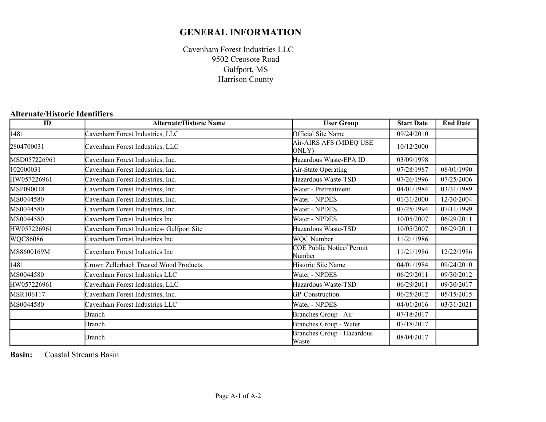# **GENERAL INFORMATION**

Cavenham Forest Industries LLC Gulfport, MS Harrison County 9502 Creosote Road

### **Alternate/Historic Identifiers**

| ID           | <b>Alternate/Historic Name</b>            | <b>User Group</b>                          | <b>Start Date</b> | <b>End Date</b> |
|--------------|-------------------------------------------|--------------------------------------------|-------------------|-----------------|
| 1481         | Cavenham Forest Industries, LLC           | Official Site Name                         | 09/24/2010        |                 |
| 2804700031   | Cavenham Forest Industries, LLC           | Air-AIRS AFS (MDEQ USE<br>ONLY)            | 10/12/2000        |                 |
| MSD057226961 | Cavenham Forest Industries, Inc.          | Hazardous Waste-EPA ID                     | 03/09/1998        |                 |
| 102000031    | Cavenham Forest Industries, Inc.          | Air-State Operating                        | 07/28/1987        | 08/01/1990      |
| HW057226961  | Cavenham Forest Industries, Inc.          | Hazardous Waste-TSD                        | 07/26/1996        | 07/25/2006      |
| MSP090018    | Cavenham Forest Industries, Inc.          | Water - Pretreatment                       | 04/01/1984        | 03/31/1989      |
| MS0044580    | Cavenham Forest Industries, Inc.          | Water - NPDES                              | 01/31/2000        | 12/30/2004      |
| MS0044580    | Cavenham Forest Industries, Inc.          | Water - NPDES                              | 07/25/1994        | 07/11/1999      |
| MS0044580    | Cavenham Forest Industries Inc            | Water - NPDES                              | 10/05/2007        | 06/29/2011      |
| HW057226961  | Cavenham Forest Industries- Gulfport Site | Hazardous Waste-TSD                        | 10/05/2007        | 06/29/2011      |
| WQC86086     | Cavenham Forest Industries Inc            | WQC Number                                 | 11/21/1986        |                 |
| MS8600169M   | Cavenham Forest Industries Inc            | <b>COE Public Notice/ Permit</b><br>Number | 11/21/1986        | 12/22/1986      |
| 1481         | Crown Zellerbach Treated Wood Products    | Historic Site Name                         | 04/01/1984        | 09/24/2010      |
| MS0044580    | Cavenham Forest Industries LLC            | Water - NPDES                              | 06/29/2011        | 09/30/2012      |
| HW057226961  | Cavenham Forest Industries, LLC           | Hazardous Waste-TSD                        | 06/29/2011        | 09/30/2017      |
| MSR106117    | Cavenham Forest Industries, Inc.          | GP-Construction                            | 06/25/2012        | 05/15/2015      |
| MS0044580    | Cavenham Forest Industries LLC            | Water - NPDES                              | 04/01/2016        | 03/31/2021      |
|              | <b>Branch</b>                             | Branches Group - Air                       | 07/18/2017        |                 |
|              | <b>Branch</b>                             | Branches Group - Water                     | 07/18/2017        |                 |
|              | <b>Branch</b>                             | Branches Group - Hazardous<br>Waste        | 08/04/2017        |                 |

**Basin:** Coastal Streams Basin